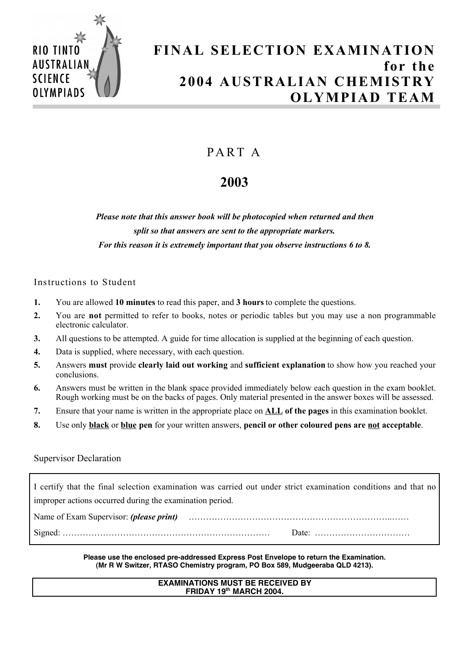

# **FINAL SELECTION EXAMINATION for the 2004 AUSTRALIAN CHEMISTRY OLYMPIAD TEAM**

## PA RT A

# **2003**

*Please note that this answer book will be photocopied when returned and then split so that answers are sent to the appropriate markers. For this reason it is extremely important that you observe instructions 6 to 8.*

## Instructions to Student

- **1.** You are allowed **10 minutes** to read this paper, and **3 hours** to complete the questions.
- **2.** You are **not** permitted to refer to books, notes or periodic tables but you may use a non programmable electronic calculator.
- **3.** All questions to be attempted. A guide for time allocation is supplied at the beginning of each question.
- **4.** Data is supplied, where necessary, with each question.
- **5.** Answers **must** provide **clearly laid out working** and **sufficient explanation** to show how you reached your conclusions.
- **6.** Answers must be written in the blank space provided immediately below each question in the exam booklet. Rough working must be on the backs of pages. Only material presented in the answer boxes will be assessed.
- **7.** Ensure that your name is written in the appropriate place on **ALL of the pages** in this examination booklet.
- **8.** Use only **black** or **blue pen** for your written answers, **pencil or other coloured pens are not acceptable**.

### Supervisor Declaration

I certify that the final selection examination was carried out under strict examination conditions and that no improper actions occurred during the examination period.

Name of Exam Supervisor: *(please print)* ……………………………………………………………..……

Signed: ……………………………………………………………… Date: ……………………………

**Please use the enclosed pre-addressed Express Post Envelope to return the Examination. (Mr R W Switzer, RTASO Chemistry program, PO Box 589, Mudgeeraba QLD 4213).**

#### **EXAMINATIONS MUST BE RECEIVED BY FRIDAY 19th MARCH 2004.**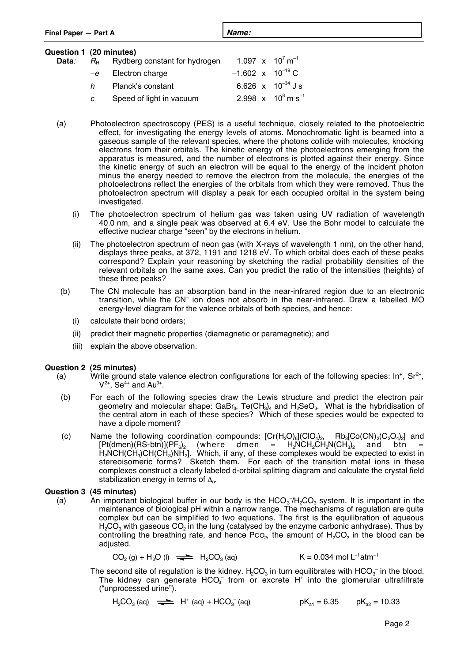| Final Paper - Part A                     |    |                                    | Name:                          |                                                  |  |  |
|------------------------------------------|----|------------------------------------|--------------------------------|--------------------------------------------------|--|--|
| Question 1 (20 minutes)<br>Data <i>:</i> |    | $RH$ Rydberg constant for hydrogen | 1.097 x $10^7$ m <sup>-1</sup> |                                                  |  |  |
|                                          | -e | Electron charge                    | $-1.602 \times 10^{-19}$ C     |                                                  |  |  |
|                                          | h  | Planck's constant                  |                                | 6.626 $\times$ 10 <sup>-34</sup> J s             |  |  |
|                                          | c  | Speed of light in vacuum           |                                | 2.998 $\times$ 10 <sup>8</sup> m s <sup>-1</sup> |  |  |
|                                          |    |                                    |                                |                                                  |  |  |

- (a) Photoelectron spectroscopy (PES) is a useful technique, closely related to the photoelectric effect, for investigating the energy levels of atoms. Monochromatic light is beamed into a gaseous sample of the relevant species, where the photons collide with molecules, knocking electrons from their orbitals. The kinetic energy of the photoelectrons emerging from the apparatus is measured, and the number of electrons is plotted against their energy. Since the kinetic energy of such an electron will be equal to the energy of the incident photon minus the energy needed to remove the electron from the molecule, the energies of the photoelectrons reflect the energies of the orbitals from which they were removed. Thus the photoelectron spectrum will display a peak for each occupied orbital in the system being investigated.
	- (i) The photoelectron spectrum of helium gas was taken using UV radiation of wavelength 40.0 nm, and a single peak was observed at 6.4 eV. Use the Bohr model to calculate the effective nuclear charge "seen" by the electrons in helium.
	- (ii) The photoelectron spectrum of neon gas (with X-rays of wavelength 1 nm), on the other hand, displays three peaks, at 372, 1191 and 1218 eV. To which orbital does each of these peaks correspond? Explain your reasoning by sketching the radial probability densities of the relevant orbitals on the same axes. Can you predict the ratio of the intensities (heights) of these three peaks?
- (b) The CN molecule has an absorption band in the near-infrared region due to an electronic transition, while the CN– ion does not absorb in the near-infrared. Draw a labelled MO energy-level diagram for the valence orbitals of both species, and hence:
	- (i) calculate their bond orders;
	- (ii) predict their magnetic properties (diamagnetic or paramagnetic); and
	- (iii) explain the above observation.

### **Question 2 (25 minutes)**

- (a) Write ground state valence electron configurations for each of the following species:  $\text{In}^+$ ,  $\text{Sr}^{2+}$ ,  $V^{2+}$ , Se<sup>4+</sup> and Au<sup>3+</sup>.
	- (b) For each of the following species draw the Lewis structure and predict the electron pair geometry and molecular shape: GaBr<sub>3</sub>, Te(CH<sub>3</sub>)<sub>4</sub> and H<sub>2</sub>SeO<sub>3</sub>. What is the hybridisation of the central atom in each of these species? Which of these species would be expected to have a dipole moment?
	- (c) Name the following coordination compounds:  $[Cr(H_2O)_6](ClO_4)_2$ ,  $Rb_3[Co(CN)_2(C_2O_4)_2]$  and  $[Pt(dmen)(RS-btn)](PF_6)_2$  (where dmen =  $H_2NCH_2CH_2N(CH_3)_2$  and btn = [Pt(dmen)(RS-btn)](PF $_{\rm 6})_{\rm 2}$  (where dmen = H $_{\rm 2}$ NCH $_{\rm 2}$ CH $_{\rm 2}$ N(CH $_{\rm 3})_{\rm 2}$  and btn =  $H_2$ NCH(CH<sub>3</sub>)CH(CH<sub>3</sub>)NH<sub>2</sub>]. Which, if any, of these complexes would be expected to exist in stereoisomeric forms? Sketch them. For each of the transition metal ions in these complexes construct a clearly labeled d-orbital splitting diagram and calculate the crystal field stabilization energy in terms of  $\Delta_{0}$ .

### **Question 3 (45 minutes)**

(a) An important biological buffer in our body is the  $HCO_3/H_2CO_3$  system. It is important in the maintenance of biological pH within a narrow range. The mechanisms of regulation are quite complex but can be simplified to two equations. The first is the equilibration of aqueous  $H<sub>2</sub>CO<sub>3</sub>$  with gaseous CO<sub>2</sub> in the lung (catalysed by the enzyme carbonic anhydrase). Thus by controlling the breathing rate, and hence  $PCO<sub>2</sub>$ , the amount of  $H<sub>2</sub>CO<sub>3</sub>$  in the blood can be adjusted.

$$
CO_2(g) + H_2O(l) \implies H_2CO_3(aq)
$$
  $K = 0.034 \text{ mol } L^{-1}atm^{-1}$ 

The second site of regulation is the kidney.  $H_2CO_3$  in turn equilibrates with  $\text{HCO}_3^-$  in the blood. The kidney can generate  $HCO<sub>3</sub><sup>-</sup>$  from or excrete H<sup>+</sup> into the glomerular ultrafiltrate ("unprocessed urine").

$$
H_2CO_3 \text{ (aq)} \implies H^+ \text{ (aq)} + HCO_3^- \text{ (aq)} \qquad \qquad pK_{a1} = 6.35 \qquad pK_{a2} = 10.33
$$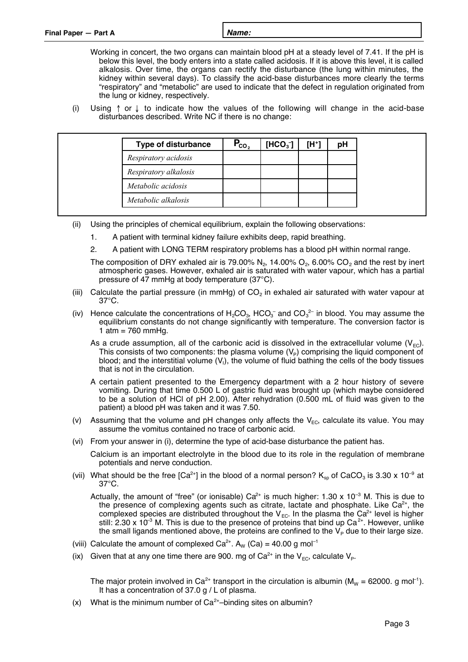| Final Paper - Part A | Name: |
|----------------------|-------|
|                      |       |

- Working in concert, the two organs can maintain blood pH at a steady level of 7.41. If the pH is below this level, the body enters into a state called acidosis. If it is above this level, it is called alkalosis. Over time, the organs can rectify the disturbance (the lung within minutes, the kidney within several days). To classify the acid-base disturbances more clearly the terms "respiratory" and "metabolic" are used to indicate that the defect in regulation originated from the lung or kidney, respectively.
- (i) Using  $\uparrow$  or  $\downarrow$  to indicate how the values of the following will change in the acid-base disturbances described. Write NC if there is no change:

| <b>Type of disturbance</b> | $\mathsf{P}_{\text{co}_2}$ | $[HCO3$ ] | $[H^+]$ | рH |
|----------------------------|----------------------------|-----------|---------|----|
| Respiratory acidosis       |                            |           |         |    |
| Respiratory alkalosis      |                            |           |         |    |
| Metabolic acidosis         |                            |           |         |    |
| Metabolic alkalosis        |                            |           |         |    |

- (ii) Using the principles of chemical equilibrium, explain the following observations:
	- 1. A patient with terminal kidney failure exhibits deep, rapid breathing.
	- 2. A patient with LONG TERM respiratory problems has a blood pH within normal range.
	- The composition of DRY exhaled air is 79.00% N<sub>2</sub>, 14.00% O<sub>2</sub>, 6.00% CO<sub>2</sub> and the rest by inert atmospheric gases. However, exhaled air is saturated with water vapour, which has a partial pressure of 47 mmHg at body temperature (37°C).
- (iii) Calculate the partial pressure (in mmHg) of  $CO<sub>2</sub>$  in exhaled air saturated with water vapour at 37°C.
- (iv) Hence calculate the concentrations of  $H_2CO_3$ , HCO<sub>3</sub><sup>-</sup> and CO<sub>3</sub><sup>2-</sup> in blood. You may assume the equilibrium constants do not change significantly with temperature. The conversion factor is 1 atm =  $760$  mmHg.
	- As a crude assumption, all of the carbonic acid is dissolved in the extracellular volume  $(V_{\text{FC}})$ . This consists of two components: the plasma volume  $(V_P)$  comprising the liquid component of blood; and the interstitial volume (V<sub>I</sub>), the volume of fluid bathing the cells of the body tissues that is not in the circulation.
	- A certain patient presented to the Emergency department with a 2 hour history of severe vomiting. During that time 0.500 L of gastric fluid was brought up (which maybe considered to be a solution of HCl of pH 2.00). After rehydration (0.500 mL of fluid was given to the patient) a blood pH was taken and it was 7.50.
- (v) Assuming that the volume and pH changes only affects the  $V_{EC}$ , calculate its value. You may assume the vomitus contained no trace of carbonic acid.
- (vi) From your answer in (i), determine the type of acid-base disturbance the patient has.

Calcium is an important electrolyte in the blood due to its role in the regulation of membrane potentials and nerve conduction.

- (vii) What should be the free [Ca<sup>2+</sup>] in the blood of a normal person?  $K_{sp}$  of CaCO<sub>3</sub> is 3.30 x 10<sup>-9</sup> at 37°C.
	- Actually, the amount of "free" (or ionisable)  $Ca^{2+}$  is much higher: 1.30 x 10<sup>-3</sup> M. This is due to the presence of complexing agents such as citrate, lactate and phosphate. Like  $Ca<sup>2+</sup>$ , the complexed species are distributed throughout the  $V_{EC}$ . In the plasma the Ca<sup>2+</sup> level is higher still: 2.30 x 10<sup>-3</sup> M. This is due to the presence of proteins that bind up  $Ca^{2+}$ . However, unlike the small ligands mentioned above, the proteins are confined to the  $V_P$  due to their large size.
- (viii) Calculate the amount of complexed  $Ca^{2+}$ . A<sub>W</sub> (Ca) = 40.00 g mol<sup>-1</sup>
- (ix) Given that at any one time there are 900. mg of Ca<sup>2+</sup> in the V<sub>EC</sub>, calculate V<sub>P</sub>.

The major protein involved in Ca<sup>2+</sup> transport in the circulation is albumin ( $M_w = 62000$ . g mol<sup>-1</sup>). It has a concentration of 37.0 g / L of plasma.

(x) What is the minimum number of  $Ca<sup>2+</sup>$ –binding sites on albumin?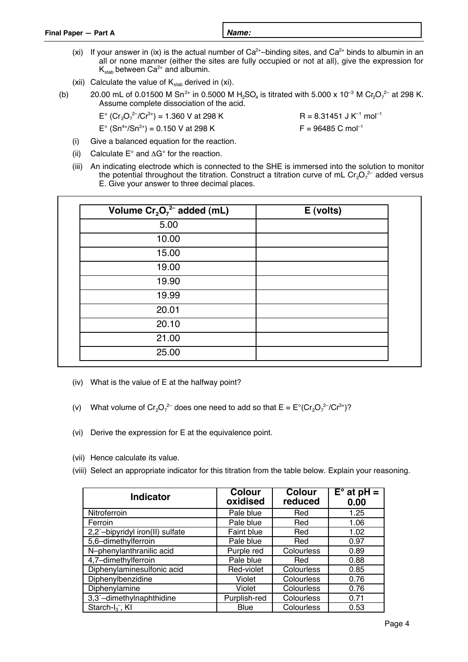- (xi) If your answer in (ix) is the actual number of  $Ca^{2+}$ –binding sites, and  $Ca^{2+}$  binds to albumin in an all or none manner (either the sites are fully occupied or not at all), give the expression for  $K_{stab}$  between Ca<sup>2+</sup> and albumin.
- (xii) Calculate the value of  $K_{stab}$  derived in (xi).
- (b) 20.00 mL of 0.01500 M Sn<sup>2+</sup> in 0.5000 M H<sub>2</sub>SO<sub>4</sub> is titrated with 5.000 x 10<sup>-3</sup> M Cr<sub>2</sub>O<sub>7</sub><sup>2-</sup> at 298 K. Assume complete dissociation of the acid.

 $E^{\circ}$  (Cr<sub>2</sub>O<sub>7</sub><sup>2-</sup>/Cr<sup>3+</sup>) = 1.360 V at 298 K R = 8.31451 J K<sup>-1</sup> mol<sup>-1</sup>

- $E^{\circ}$  (Sn<sup>4+</sup>/Sn<sup>2+</sup>) = 0.150 V at 298 K F = 96485 C mol<sup>-1</sup>
- 
- (i) Give a balanced equation for the reaction.
- (ii) Calculate  $E^{\circ}$  and  $\Delta G^{\circ}$  for the reaction.
- (iii) An indicating electrode which is connected to the SHE is immersed into the solution to monitor the potential throughout the titration. Construct a titration curve of mL Cr<sub>2</sub>O<sub>7</sub><sup>2-</sup> added versus E. Give your answer to three decimal places.

| Volume $Cr_2O_7^2$ added (mL) | E (volts) |
|-------------------------------|-----------|
| 5.00                          |           |
| 10.00                         |           |
| 15.00                         |           |
| 19.00                         |           |
| 19.90                         |           |
| 19.99                         |           |
| 20.01                         |           |
| 20.10                         |           |
| 21.00                         |           |
| 25.00                         |           |

- (iv) What is the value of E at the halfway point?
- (v) What volume of Cr<sub>2</sub>O<sub>7</sub><sup>2-</sup> does one need to add so that  $E = E^{\circ} (Cr_2O_7^{2-7}/Cr^{3+})$ ?
- (vi) Derive the expression for E at the equivalence point.
- (vii) Hence calculate its value.
- (viii) Select an appropriate indicator for this titration from the table below. Explain your reasoning.

| <b>Indicator</b>                | <b>Colour</b><br>oxidised | <b>Colour</b><br>reduced | $E^{\circ}$ at pH =<br>0.00 |
|---------------------------------|---------------------------|--------------------------|-----------------------------|
| Nitroferroin                    | Pale blue                 | Red                      | 1.25                        |
| Ferroin                         | Pale blue                 | Red                      | 1.06                        |
| 2,2`-bipyridyl iron(II) sulfate | Faint blue                | Red                      | 1.02                        |
| 5,6-dimethylferroin             | Pale blue                 | Red                      | 0.97                        |
| N-phenylanthranilic acid        | Purple red                | Colourless               | 0.89                        |
| 4,7-dimethylferroin             | Pale blue                 | Red                      | 0.88                        |
| Diphenylaminesulfonic acid      | Red-violet                | Colourless               | 0.85                        |
| Diphenylbenzidine               | Violet                    | Colourless               | 0.76                        |
| Diphenylamine                   | Violet                    | Colourless               | 0.76                        |
| 3,3`-dimethylnaphthidine        | Purplish-red              | Colourless               | 0.71                        |
| Starch- $I_3^-$ , KI            | <b>Blue</b>               | Colourless               | 0.53                        |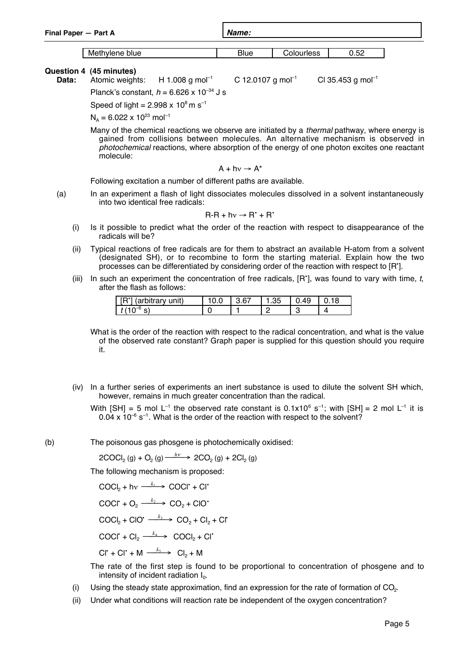| Final Paper - Part A |                                           |  | Name: |                   |      |  |  |
|----------------------|-------------------------------------------|--|-------|-------------------|------|--|--|
|                      | Methylene blue                            |  | Blue  | <b>Colourless</b> | 0.52 |  |  |
| $\sim$               | $\sim$ $\sim$ $\sim$ $\sim$ $\sim$ $\sim$ |  |       |                   |      |  |  |

**Question 4 (45 minutes)**

**Data:** Atomic weights:  $H 1.008$  g mol<sup>-1</sup> C 12.0107 g mol<sup>-1</sup> C 35.453 g mol<sup>-1</sup> Planck's constant,  $h = 6.626 \times 10^{-34}$  J s

Speed of light =  $2.998 \times 10^8$  m s<sup>-1</sup>

 $N<sub>A</sub> = 6.022 \times 10^{23}$  mol<sup>-1</sup>

Many of the chemical reactions we observe are initiated by a *thermal* pathway, where energy is gained from collisions between molecules. An alternative mechanism is observed in photochemical reactions, where absorption of the energy of one photon excites one reactant molecule:

$$
A + h v \rightarrow A^*
$$

Following excitation a number of different paths are available.

(a) In an experiment a flash of light dissociates molecules dissolved in a solvent instantaneously into two identical free radicals:

$$
R-R + hv \rightarrow R^* + R^*
$$

- (i) Is it possible to predict what the order of the reaction with respect to disappearance of the radicals will be?
- (ii) Typical reactions of free radicals are for them to abstract an available H-atom from a solvent (designated SH), or to recombine to form the starting material. Explain how the two processes can be differentiated by considering order of the reaction with respect to [R• ].
- (iii) In such an experiment the concentration of free radicals,  $[R']$ , was found to vary with time, t, after the flash as follows:

| ים ז<br>arbitrary<br>unit) | .67 | .35 |  |
|----------------------------|-----|-----|--|
|                            |     |     |  |

What is the order of the reaction with respect to the radical concentration, and what is the value of the observed rate constant? Graph paper is supplied for this question should you require it.

(iv) In a further series of experiments an inert substance is used to dilute the solvent SH which, however, remains in much greater concentration than the radical.

With  $[SH] = 5$  mol L<sup>-1</sup> the observed rate constant is  $0.1x10^6$  s<sup>-1</sup>; with  $[SH] = 2$  mol L<sup>-1</sup> it is  $0.04 \times 10^{-6}$  s<sup>-1</sup>. What is the order of the reaction with respect to the solvent?

(b) The poisonous gas phosgene is photochemically oxidised:

$$
2COCl2(g) + O2(g) \xrightarrow{h\nu} 2CO2(g) + 2Cl2(g)
$$

The following mechanism is proposed:

$$
COCl2 + hv \xrightarrow{k_1} COCl2 + Cl2
$$
  
\n
$$
COCl2 + O2 \xrightarrow{k_2} CO2 + ClO2
$$
  
\n
$$
COCl2 + ClO2 \xrightarrow{k_3} CO2 + Cl2 + Cl2
$$
  
\n
$$
COCl2 + Cl2 \xrightarrow{k_4} COCl2 + Cl2
$$
  
\n
$$
Cl2 + Cl2 \xrightarrow{k_4} COCl2 + Cl2
$$

The rate of the first step is found to be proportional to concentration of phosgene and to intensity of incident radiation  $I_0$ .

- (i) Using the steady state approximation, find an expression for the rate of formation of  $CO<sub>2</sub>$ .
- (ii) Under what conditions will reaction rate be independent of the oxygen concentration?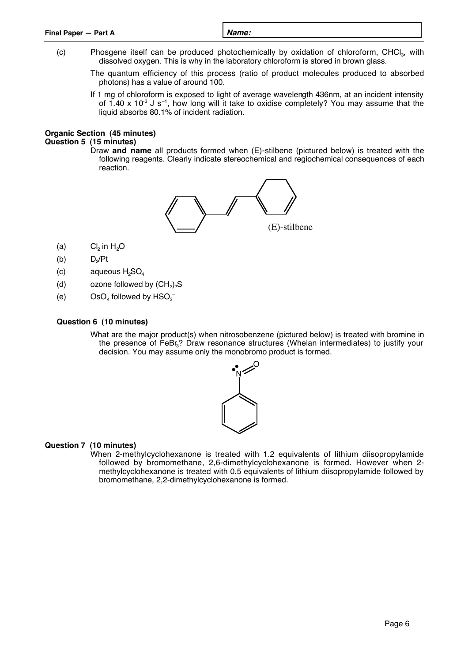| Final Paper - Part A | Name: |
|----------------------|-------|
|                      |       |

- (c) Phosgene itself can be produced photochemically by oxidation of chloroform, CHCl $_3$ , with dissolved oxygen. This is why in the laboratory chloroform is stored in brown glass.
	- The quantum efficiency of this process (ratio of product molecules produced to absorbed photons) has a value of around 100.
	- If 1 mg of chloroform is exposed to light of average wavelength 436nm, at an incident intensity of 1.40 x 10 $^3$  J s<sup>-1</sup>, how long will it take to oxidise completely? You may assume that the liquid absorbs 80.1% of incident radiation.

#### **Organic Section (45 minutes) Question 5 (15 minutes)**

Draw **and name** all products formed when (E)-stilbene (pictured below) is treated with the following reagents. Clearly indicate stereochemical and regiochemical consequences of each reaction.



- (a)  $Cl<sub>2</sub>$  in H<sub>2</sub>O
- $(b)$  D<sub>2</sub>/Pt
- $(c)$  aqueous  $H<sub>2</sub>SO<sub>4</sub>$
- (d) ozone followed by  $(CH_3)_2S$
- (e)  $OSO_4$  followed by  $HSO_3^-$

### **Question 6 (10 minutes)**

What are the major product(s) when nitrosobenzene (pictured below) is treated with bromine in the presence of FeBr<sub>3</sub>? Draw resonance structures (Whelan intermediates) to justify your decision. You may assume only the monobromo product is formed.



### **Question 7 (10 minutes)**

When 2-methylcyclohexanone is treated with 1.2 equivalents of lithium diisopropylamide followed by bromomethane, 2,6-dimethylcyclohexanone is formed. However when 2 methylcyclohexanone is treated with 0.5 equivalents of lithium diisopropylamide followed by bromomethane, 2,2-dimethylcyclohexanone is formed.